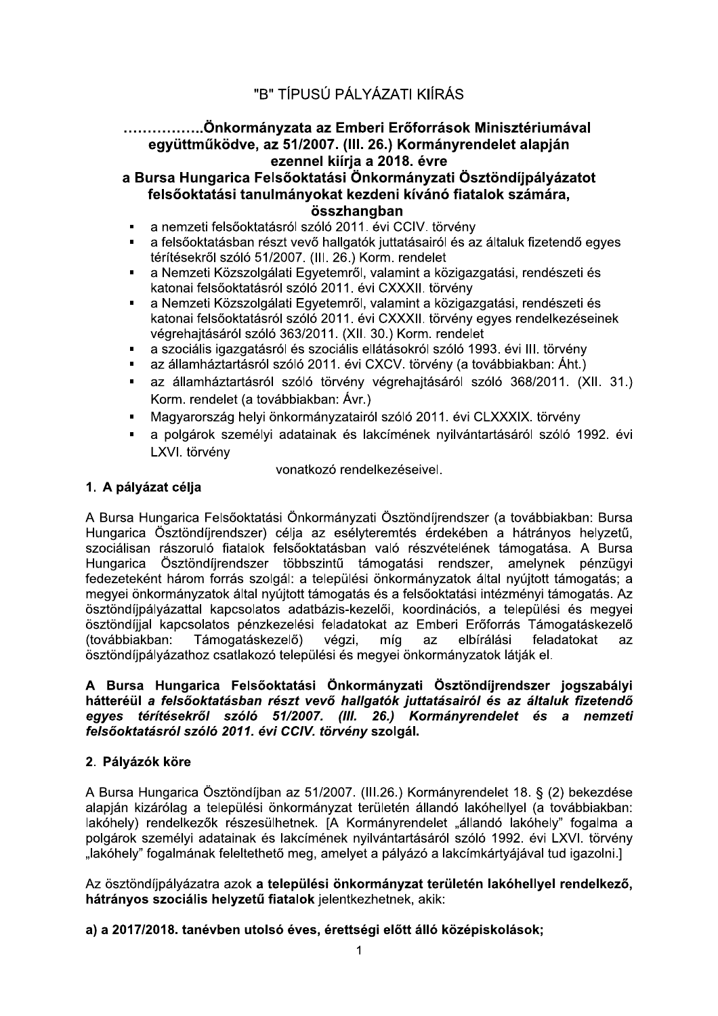## …………….Önkormánvzata az Emberi Erőforrások Minisztériumával együttműködve, az 51/2007. (III. 26.) Kormányrendelet alapján ezennel kiíria a 2018. évre

a Bursa Hungarica Felsőoktatási Önkormányzati Ösztöndíjpályázatot felsőoktatási tanulmányokat kezdeni kívánó fiatalok számára, összhangban

- a nemzeti felsőoktatásról szóló 2011. évi CCIV. törvény  $\blacksquare$
- a felsőoktatásban részt vevő hallgatók juttatásairól és az általuk fizetendő egyes térítésekről szóló 51/2007. (III. 26.) Korm. rendelet
- a Nemzeti Közszolgálati Egyetemről, valamint a közigazgatási, rendészeti és  $\blacksquare$ katonai felsőoktatásról szóló 2011. évi CXXXII. törvény
- $\blacksquare$ a Nemzeti Közszolgálati Egyetemről, valamint a közigazgatási, rendészeti és katonai felsőoktatásról szóló 2011. évi CXXXII. törvény egyes rendelkezéseinek végrehajtásáról szóló 363/2011. (XII. 30.) Korm. rendelet
- a szociális igazgatásról és szociális ellátásokról szóló 1993. évi III. törvény
- az államháztartásról szóló 2011. évi CXCV. törvény (a továbbiakban: Áht.)  $\blacksquare$
- az államháztartásról szóló törvény végrehajtásáról szóló 368/2011. (XII. 31.)  $\blacksquare$ Korm. rendelet (a továbbiakban: Ávr.)
- Magyarország helyi önkormányzatairól szóló 2011. évi CLXXXIX. törvény
- a polgárok személyi adatainak és lakcímének nyilvántartásáról szóló 1992. évi  $\blacksquare$ LXVI. törvény

vonatkozó rendelkezéseivel.

## 1. A pálvázat célia

A Bursa Hungarica Felsőoktatási Önkormányzati Ösztöndíjrendszer (a továbbiakban: Bursa Hungarica Ösztöndíjrendszer) célja az esélyteremtés érdekében a hátrányos helyzetű, szociálisan rászoruló fiatalok felsőoktatásban való részvételének támogatása. A Bursa Hungarica Ösztöndíjrendszer többszintű támogatási rendszer, amelynek pénzügyi fedezeteként három forrás szolgál: a települési önkormányzatok által nyújtott támogatás; a megyei önkormányzatok által nyújtott támogatás és a felsőoktatási intézményi támogatás. Az ösztöndíipályázattal kapcsolatos adatbázis-kezelői, koordinációs, a települési és megyei ösztöndíjjal kapcsolatos pénzkezelési feladatokat az Emberi Erőforrás Támogatáskezelő (továbbiakban: Támogatáskezelő) végzi, míg elbírálási feladatokat az az ösztöndíjpályázathoz csatlakozó települési és megyei önkormányzatok látják el.

## A Bursa Hungarica Felsőoktatási Önkormányzati Ösztöndíjrendszer jogszabályi hátteréül a felsőoktatásban részt vevő hallgatók juttatásairól és az általuk fizetendő egyes térítésekről szóló 51/2007. (III. 26.) Kormányrendelet és a nemzeti felsőoktatásról szóló 2011. évi CCIV. törvény szolgál.

## 2. Pályázók köre

A Bursa Hungarica Ösztöndíjban az 51/2007. (III.26.) Kormányrendelet 18. § (2) bekezdése alapján kizárólag a települési önkormányzat területén állandó lakóhellyel (a továbbiakban: lakóhely) rendelkezők részesülhetnek. [A Kormányrendelet "állandó lakóhely" fogalma a polgárok személyi adatainak és lakcímének nyilvántartásáról szóló 1992. évi LXVI. törvény "lakóhely" fogalmának feleltethető meg, amelyet a pályázó a lakcímkártyájával tud igazolni.]

Az ösztöndíjpályázatra azok a települési önkormányzat területén lakóhellyel rendelkező, hátrányos szociális helyzetű fiatalok jelentkezhetnek, akik:

## a) a 2017/2018. tanévben utolsó éves, érettségi előtt álló középiskolások;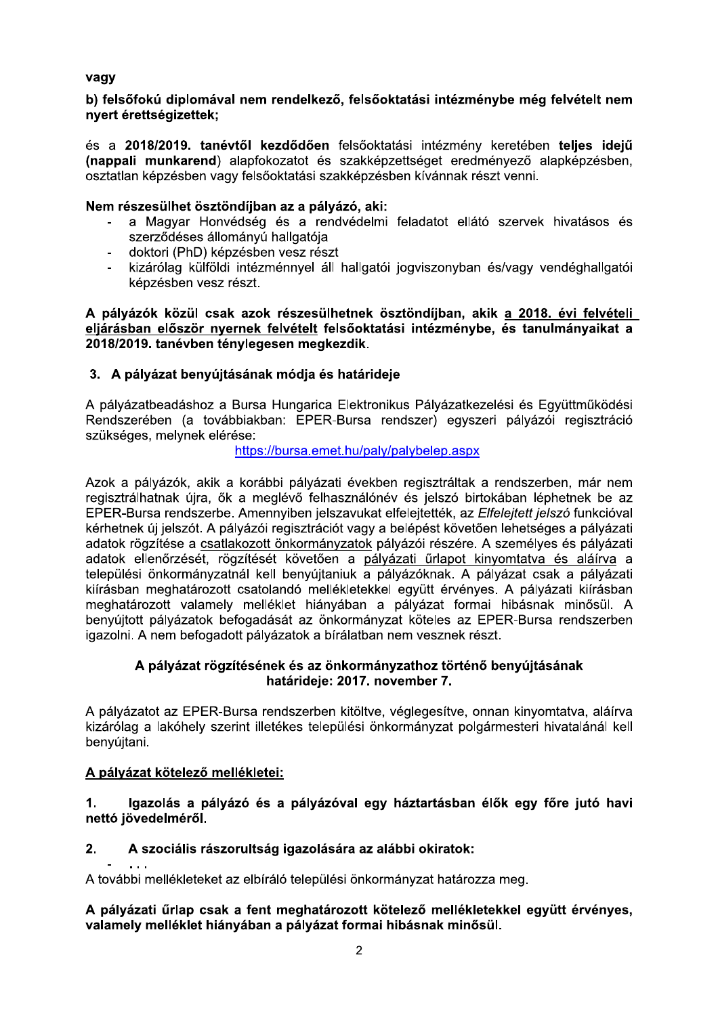# vagy

## b) felsőfoku alplomával nem rendelkező, felsőöktátási intezmenybe meg felveteit nem nvert érettségizettek:

es a 2018/2019. tanévtől kezdődően felsőoktatási intezmeny keretében teljes idejü nával nem rendelkező, felsőoktatási intézménybe még felvét<br>k;<br>anévtől kezdődően felsőoktatási intézmény keretében telje<br>id) alapfokozatot és szakképzettséget eredményező alapkép<br>vagy felsőoktatási szakképzésben kívánnak ré nappali munkar) vagy<br>
b) felsőfokú diplomával nem rendelkező, felsőoktatási intézménybe még felvételt nem<br>
nyert érettségizettek;<br>
és a 2018/2019. tanévtől kezdődően felsőoktatási intézmény keretében teljes idejű<br>
(nappali munkarend) alap b) felsőfokú diplomával nem rendelkező, felsőoktatási intézmény keretében teljes idejű<br>
(nappali munkarend) alapfokozatot és szakképzettséget eredményező alapképzésben,<br>
(nappali munkarend) alapfokozatot és szakképzettség

# net osztongijban az a palyazo, ak

- 
- 
- 

yazok kozul csak azok reszesulnetnek osztondijban, akik <u>a 2018. evi felveteli –</u> eijarasban elöször nyernek felvetelt felsőöktatási intezmenybe, és tanulmányaikat a<br>2018/2019. tanévben ténylegesen megkezdik. nevben tenylegesen megkezdik.

# 3. A palyazat benyujtasanak modja és nataridéje

A pálvázatbeadáshoz a Bursa Hungarica Elektronikus Pálvázatkezelési és Együttműködési Rendszerében (a továbbiakban: EPER-Bursa rendszer) egyszeri pályázói regisztráció szükséges, melynek elérése:

## https://bursa.emet.hu/paly/palybelep.aspx

3. A pályázat benyújtásának módja és határideje<br>
A pályázatkezetési és Együttműködési<br>
Rendszerében (a továbbiakban: EPER-Bursa rendszer) egyszeri pályázoi regisztráció<br>
Rendszerében (a továbbiakban: EPER-Bursa rendszer) e

## yazat rogzitesenek es az onkormanyzatnoz torteno benyujtasanak natarideje: 2017. november 7.

A pálvázatot az EPER-Bursa rendszerben kitöltve, véglegesítve, onnan kinyomtatva, aláírva kizárólag a lakóhely szerint illetékes települési önkormányzat polgármesteri hivatalánál kell benyújtani.

### $\mathbf{r}$ <u>A palyazat kotelezo mellekietel:</u>

#### 1. gaz zolas a palyazo és a palyazóval egy haztartásban elők egy fore jutó havi netto jovedelmerol.

# netto jovedelmerol.<br>2. A szociális rászorultság igazolására az alábbi okiratok:

T witten A tovabbi mellekleteket az elbiralo települesi onkormanyzat hatarozza meg.

A palyazati urlap csak a fent megnatarozott kotelező mellekletekkel együtt ervenyes, valamely melleklet hianyaban a palyazat formal hibashak minosul.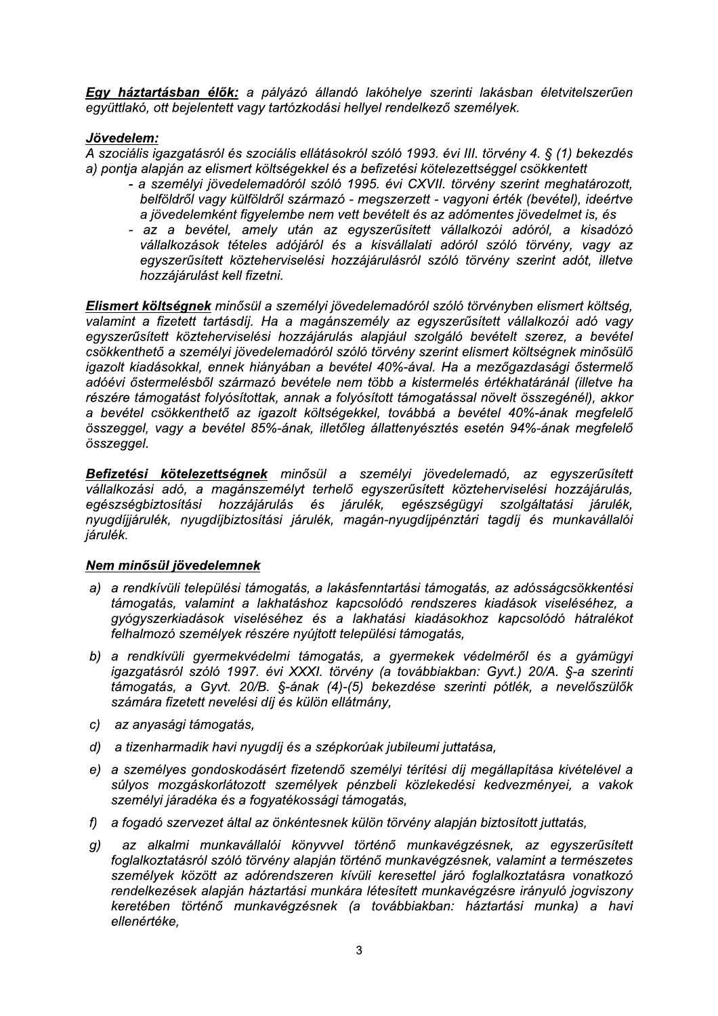Egy háztartásban élők: a pályázó állandó lakóhelye szerinti lakásban életvitelszerűen együttlakó, ott bejelentett vagy tartózkodási hellyel rendelkező személyek.

## Jövedelem:

A szociális igazgatásról és szociális ellátásokról szóló 1993. évi III. törvény 4. § (1) bekezdés a) pontia alapián az elismert költségekkel és a befizetési kötelezettséggel csökkentett

- a személyi jövedelemadóról szóló 1995. évi CXVII. törvény szerint meghatározott, belföldről vagy külföldről származó - megszerzett - vagyoni érték (bevétel), ideértve a jövedelemként figyelembe nem vett bevételt és az adómentes jövedelmet is, és
- az a bevétel, amely után az egyszerűsített vállalkozói adóról, a kisadózó vállalkozások tételes adójáról és a kisvállalati adóról szóló törvény, vagy az egyszerűsített közteherviselési hozzájárulásról szóló törvény szerint adót, illetve hozzájárulást kell fizetni.

Elismert költségnek minősül a személyi jövedelemadóról szóló törvényben elismert költség, valamint a fizetett tartásdíj. Ha a magánszemély az egyszerűsített vállalkozói adó vagy egyszerűsített közteherviselési hozzájárulás alapjául szolgáló bevételt szerez, a bevétel csökkenthető a személyi jövedelemadóról szóló törvény szerint elismert költségnek minősülő igazolt kiadásokkal, ennek hiányában a bevétel 40%-ával. Ha a mezőgazdasági őstermelő adóévi őstermelésből származó bevétele nem több a kistermelés értékhatáránál (illetve ha részére támogatást folyósítottak, annak a folyósított támogatással növelt összegénél), akkor a bevétel csökkenthető az igazolt költségekkel, továbbá a bevétel 40%-ának megfelelő összeggel, vagy a bevétel 85%-ának, illetőleg állattenyésztés esetén 94%-ának megfelelő összeggel.

Befizetési kötelezettségnek minősül a személyi jövedelemadó, az egyszerűsített vállalkozási adó, a magánszemélyt terhelő egyszerűsített közteherviselési hozzájárulás, egészségbiztosítási hozzájárulás és járulék, egészségügyi szolgáltatási járulék, nyugdíjjárulék, nyugdíjbiztosítási járulék, magán-nyugdíjpénztári tagdíj és munkavállalói járulék.

## Nem minősül jövedelemnek

- a) a rendkívüli települési támogatás, a lakásfenntartási támogatás, az adósságcsökkentési támogatás, valamint a lakhatáshoz kapcsolódó rendszeres kiadások viseléséhez, a gyógyszerkiadások viseléséhez és a lakhatási kiadásokhoz kapcsolódó hátralékot felhalmozó személyek részére nyújtott települési támogatás,
- b) a rendkívüli gyermekvédelmi támogatás, a gyermekek védelméről és a gyámügyi igazgatásról szóló 1997. évi XXXI. törvény (a továbbiakban: Gyvt.) 20/A. §-a szerinti támogatás, a Gyvt. 20/B. §-ának (4)-(5) bekezdése szerinti pótlék, a nevelőszülők számára fizetett nevelési díj és külön ellátmány,
- c) az anyasági támogatás,
- d) a tizenharmadik havi nyugdíj és a szépkorúak jubileumi juttatása,
- e) a személyes gondoskodásért fizetendő személyi térítési díj megállapítása kivételével a súlyos mozgáskorlátozott személyek pénzbeli közlekedési kedvezményei, a vakok személyi járadéka és a fogyatékossági támogatás.
- f) a fogadó szervezet által az önkéntesnek külön törvény alapján biztosított juttatás,
- az alkalmi munkavállalói könyvvel történő munkavégzésnek, az egyszerűsített  $q)$ foglalkoztatásról szóló törvény alapján történő munkavégzésnek, valamint a természetes személyek között az adórendszeren kívüli keresettel járó foglalkoztatásra vonatkozó rendelkezések alapján háztartási munkára létesített munkavégzésre irányuló jogviszony keretében történő munkavégzésnek (a továbbiakban: háztartási munka) a havi ellenértéke.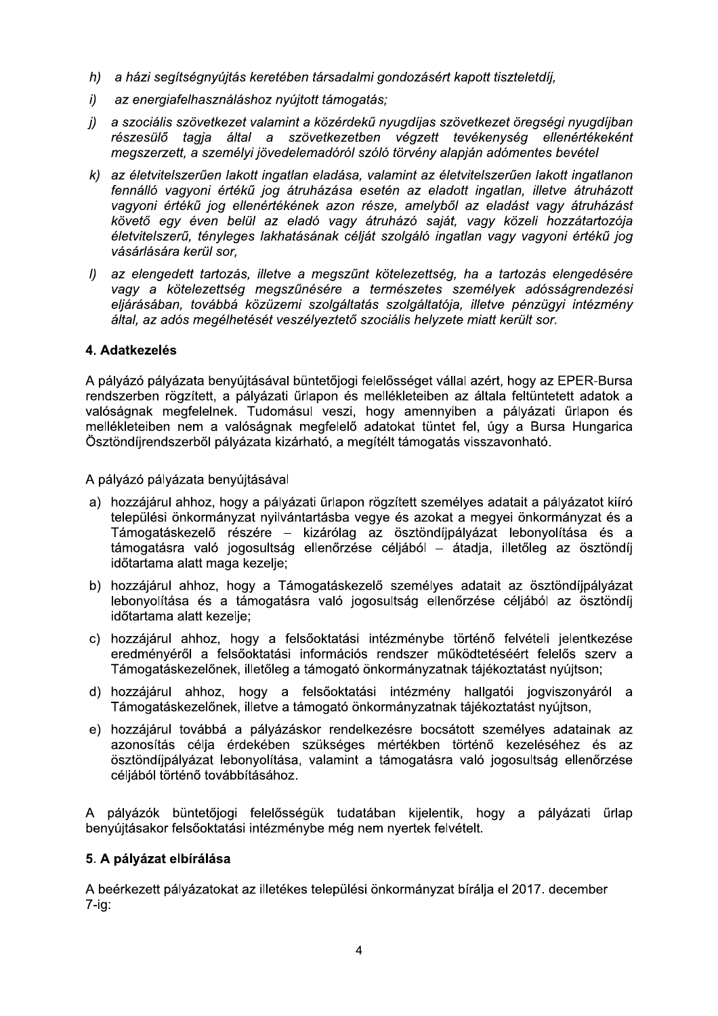- h) a házi segítségnyújtás keretében társadalmi gondozásért kapott tiszteletdíj.
- $i)$ az energiafelhasználáshoz nyújtott támogatás:
- j) a szociális szövetkezet valamint a közérdekű nyugdíjas szövetkezet öregségi nyugdíjban részesülő tagja által a szövetkezetben végzett tevékenység ellenértékeként megszerzett, a személyi jövedelemadóról szóló törvény alapján adómentes bevétel
- k) az életvitelszerűen lakott ingatlan eladása, valamint az életvitelszerűen lakott ingatlanon fennálló vagyoni értékű jog átruházása esetén az eladott ingatlan, illetve átruházott vagyoni értékű jog ellenértékének azon része, amelyből az eladást vagy átruházást követő egy éven belül az eladó vagy átruházó saját, vagy közeli hozzátartozója életvitelszerű, tényleges lakhatásának célját szolgáló ingatlan vagy vagyoni értékű jog vásárlására kerül sor.
- I) az elengedett tartozás, illetve a megszűnt kötelezettség, ha a tartozás elengedésére vagy a kötelezettség megszűnésére a természetes személyek adósságrendezési eljárásában, továbbá közüzemi szolgáltatás szolgáltatója, illetve pénzügyi intézmény által, az adós megélhetését veszélveztető szociális helyzete miatt került sor.

## 4. Adatkezelés

A pályázó pályázata benyújtásával büntetőjogi felelősséget vállal azért, hogy az EPER-Bursa rendszerben rögzített, a pálvázati űrlapon és mellékleteiben az általa feltüntetett adatok a valóságnak megfelelnek. Tudomásul veszi, hogy amennyiben a pályázati űrlapon és mellékleteiben nem a valóságnak megfelelő adatokat tüntet fel, úgy a Bursa Hungarica Ösztöndíjrendszerből pályázata kizárható, a megítélt támogatás visszavonható.

A pályázó pályázata benyújtásával

- a) hozzájárul ahhoz, hogy a pályázati űrlapon rögzített személyes adatait a pályázatot kiíró települési önkormányzat nyilvántartásba vegye és azokat a megyei önkormányzat és a Támogatáskezelő részére – kizárólag az ösztöndíjpályázat lebonyolítása és a támogatásra való jogosultság ellenőrzése céljából – átadja, illetőleg az ösztöndíj időtartama alatt maga kezelje;
- b) hozzájárul ahhoz, hogy a Támogatáskezelő személyes adatait az ösztöndíjpályázat lebonyolítása és a támogatásra való jogosultság ellenőrzése céljából az ösztöndíj időtartama alatt kezelie:
- c) hozzájárul ahhoz, hogy a felsőoktatási intézménybe történő felvételi jelentkezése eredményéről a felsőoktatási információs rendszer működtetéséért felelős szerv a Támogatáskezelőnek, illetőleg a támogató önkormányzatnak tájékoztatást nyújtson;
- d) hozzájárul ahhoz, hogy a felsőoktatási intézmény hallgatói jogviszonyáról a Támogatáskezelőnek, illetve a támogató önkormányzatnak tájékoztatást nyújtson,
- e) hozzájárul továbbá a pályázáskor rendelkezésre bocsátott személyes adatainak az azonosítás célja érdekében szükséges mértékben történő kezeléséhez és az ösztöndíjpályázat lebonyolítása, valamint a támogatásra való jogosultság ellenőrzése céljából történő továbbításához.

A pálvázók büntetőjogi felelősségük tudatában kijelentik, hogy a pályázati űrlap benvújtásakor felsőoktatási intézménybe még nem nyertek felvételt.

## 5. A pályázat elbírálása

A beérkezett pályázatokat az illetékes települési önkormányzat bírálja el 2017. december  $7-iq$ :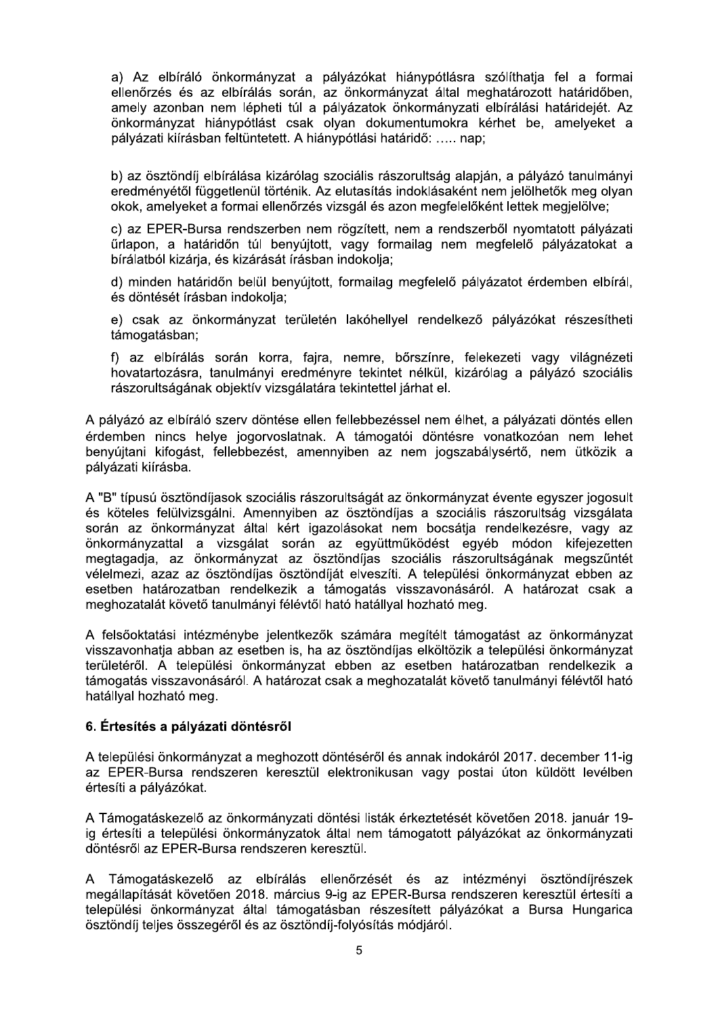a) Az elbíráló önkormányzat a pályázókat hiánypótlásra szólíthatia fel a formai ellenőrzés és az elbírálás során, az önkormányzat által meghatározott határidőben, amely azonban nem lépheti túl a pályázatok önkormányzati elbírálási határidejét. Az önkormányzat hiánypótlást csak olyan dokumentumokra kérhet be, amelyeket a pályázati kiírásban feltüntetett. A hiánypótlási határidő: ..... nap;

b) az ösztöndíi elbírálása kizárólag szociális rászorultság alapján, a pályázó tanulmányi eredményétől függetlenül történik. Az elutasítás indoklásaként nem jelölhetők meg olyan okok, amelyeket a formai ellenőrzés vizsgál és azon megfelelőként lettek megjelölve;

c) az EPER-Bursa rendszerben nem rögzített, nem a rendszerből nyomtatott pályázati űrlapon, a határidőn túl benyújtott, vagy formailag nem megfelelő pályázatokat a bírálatból kizária, és kizárását írásban indokolja:

d) minden határidőn belül benyújtott, formailag megfelelő pályázatot érdemben elbírál, és döntését írásban indokolja;

e) csak az önkormányzat területén lakóhellyel rendelkező pályázókat részesítheti támogatásban;

f) az elbírálás során korra, faira, nemre, bőrszínre, felekezeti vagy világnézeti hovatartozásra, tanulmányi eredményre tekintet nélkül, kizárólag a pályázó szociális rászorultságának objektív vizsgálatára tekintettel járhat el.

A pályázó az elbíráló szerv döntése ellen fellebbezéssel nem élhet, a pályázati döntés ellen érdemben nincs helye jogorvoslatnak. A támogatói döntésre vonatkozóan nem lehet benyújtani kifogást, fellebbezést, amennyiben az nem jogszabálysértő, nem ütközik a pályázati kiírásba.

A "B" típusú ösztöndíjasok szociális rászorultságát az önkormányzat évente egyszer jogosult és köteles felülvizsgálni. Amennyiben az ösztöndíjas a szociális rászorultság vizsgálata során az önkormányzat által kért igazolásokat nem bocsátja rendelkezésre, vagy az önkormányzattal a vizsgálat során az együttműködést egyéb módon kifejezetten megtagadia, az önkormányzat az ösztöndíjas szociális rászorultságának megszűntét vélelmezi, azaz az ösztöndíjas ösztöndíját elveszíti. A települési önkormányzat ebben az esetben határozatban rendelkezik a támogatás visszavonásáról. A határozat csak a meghozatalát követő tanulmányi félévtől ható hatállyal hozható meg.

A felsőoktatási intézménybe jelentkezők számára megítélt támogatást az önkormányzat visszavonhatja abban az esetben is, ha az ösztöndíjas elköltözik a települési önkormányzat területéről. A települési önkormányzat ebben az esetben határozatban rendelkezik a támogatás visszavonásáról. A határozat csak a meghozatalát követő tanulmányi félévtől ható hatállyal hozható meg.

## 6. Értesítés a pályázati döntésről

A települési önkormányzat a meghozott döntéséről és annak indokáról 2017. december 11-ig az EPER-Bursa rendszeren keresztül elektronikusan vagy postai úton küldött levélben értesíti a pályázókat.

A Támogatáskezelő az önkormányzati döntési listák érkeztetését követően 2018. január 19ja értesíti a települési önkormányzatok által nem támogatott pályázókat az önkormányzati döntésről az EPER-Bursa rendszeren keresztül.

A Támogatáskezelő az elbírálás ellenőrzését és az intézményi ösztöndíirészek megállapítását követően 2018. március 9-ig az EPER-Bursa rendszeren keresztül értesíti a települési önkormányzat által támogatásban részesített pályázókat a Bursa Hungarica ösztöndíj teljes összegéről és az ösztöndíj-folyósítás módjáról.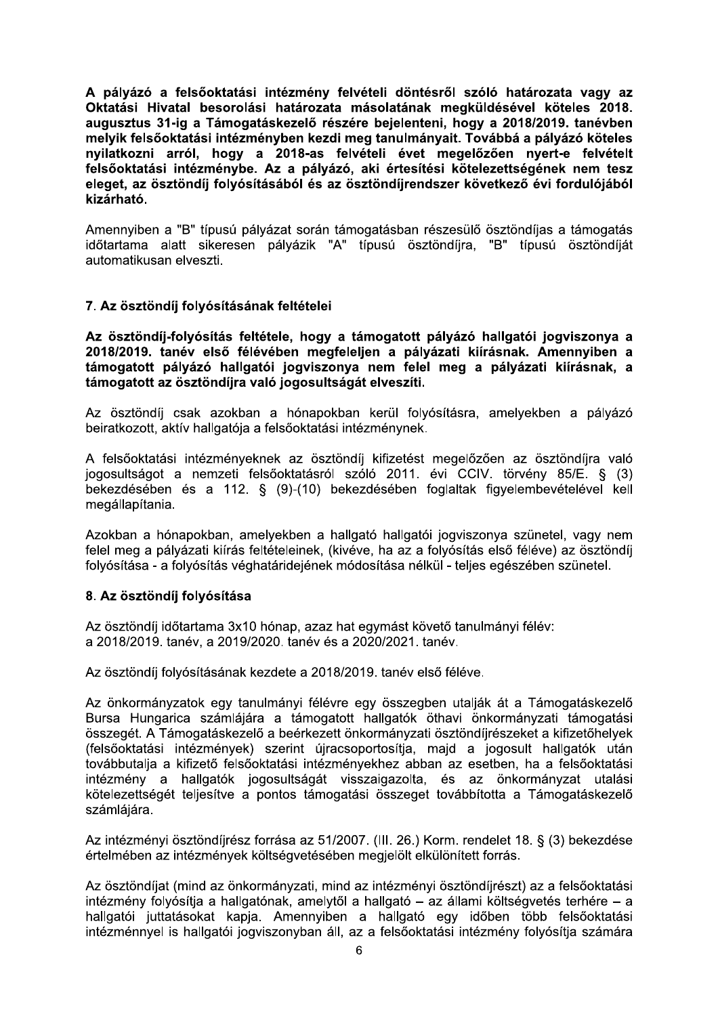A palyazo a felsooktatasi intezmeny felveteli dontesrol szolo hatarozata vagy az Oktatasi Hivatal besorolasi hatarozata masolatanak megkuldesevel koteles 2018. augusztus 31-ig a Tamogataskezelő reszere bejelenteni, hogy a 2018/2019. tanévben A pályázó a felsőoktatási intézm<br>Oktatási Hivatal besorolási hatá<br>augusztus 31-ig a Támogatáskeze<br>melyik felsőoktatási intézményben<br>nyilatkozni arról, hogy a 2018<br>felsőoktatási intézménybe. Az a j<br>eleget, az ösztöndíj foly melyik felsooktatasi intezmenyben kezdi meg tahulmanyait. Tovabba a palyazo koteles nyilatkozni arrol, nogy a zu18-as felveteli évet megelőzően nyert-e felvetelt felsőoktatási intézmény felvételi döntés<br>
tal besorolási határozata másolatának<br>
ig a Támogatáskezelő részére bejelenten<br>
ktatási intézményben kezdi meg tanulmány<br>
rról, hogy a 2018-as felvételi évet<br>
intézménybe. Az a pál ésről szóló határozata vagy az<br>k megküldésével köteles 2018.<br>eni, hogy a 2018/2019. tanévben<br>nyait. Továbbá a pályázó köteles<br>megelőzően nyert-e felvételt<br>ési kötelezettségének nem tesz<br>dszer következő évi fordulójából<br>rés felsooktatasi intezmenybe. Az a palyazo, aki ertesítési kötelezettségenek nem tész eleget, az osztondij folyosításábol és az osztondíjrendszer következő évi fordulójábol kizarnaτo.

Amennyiben a "B" típusú pályázat során támogatásban részesülő ösztöndíjas a támogatás időtartama alatt sikeresen pályázik "A" típusú ösztöndíjra, "B" típusú ösztöndíját automatikusan elveszti.

# *l* . Az osztonalj folyositasanak feltetelei

Az osztondij-folyosítás feltetele, hogy a tamogatott palyazó haligatól jogviszonya a Amennyiben a "B" típusú pályázat s<br>
időtartama alatt sikeresen pályá<br>
automatikusan elveszti.<br>
7. Az ösztöndíj folyósításának felt<br>
Az ösztöndíj-folyósítás feltétele,<br>
2018/2019. tanév első félévében<br>
támogatott pályázó ha 2018/2019. tanév élső feleveben megfeleljen a palyazáti kilrásnak. Amennyiben a tamogatott palyazo haligatol jogviszonya nem felel meg a palyazati kiirashak, a tamogatott az osztondíjra való jogósultságat elveszíti.

Az ösztöndíi csak azokban a hónapokban kerül folyósításra, amelyekben a pályázó beiratkozott, aktív hallgatója a felsőoktatási intézménynek.

A felsőoktatási intézményeknek az ösztöndíj kifizetést megelőzően az ösztöndíjra való jogosultságot a nemzeti felsőoktatásról szóló 2011. évi CCIV. törvény 85/E. § (3) bekezdésében és a 112. § (9)-(10) bekezdésében foglaltak figyelembevételével kell megállapítania.

Azokban a hónapokban, amelyekben a hallgató hallgatói jogviszonya szünetel, vagy nem felel meg a pályázati kiírás feltételeinek, (kivéve, ha az a folyósítás első féléve) az ösztöndíj folyósítása - a folyósítás véghatáridejének módosítása nélkül - teljes egészében szünetel.

# 8. Az osztonalj folyosítása

Az ösztöndíj időtartama 3x10 hónap, azaz hat egymást követő tanulmányi félév: a 2018/2019, tanév, a 2019/2020, tanév és a 2020/2021, tanév,

Az ösztöndíj folyósításának kezdete a 2018/2019. tanév első féléve.

Az önkormányzatok egy tanulmányi félévre egy összegben utalják át a Támogatáskezelő Bursa Hungarica számlájára a támogatott hallgatók öthavi önkormányzati támogatási összegét. A Támogatáskezelő a beérkezett önkormányzati ösztöndíirészeket a kifizetőhelyek (felsőoktatási intézmények) szerint újracsoportosítia, maid a jogosult hallgatók után továbbutalia a kifizető felsőoktatási intézményekhez abban az esetben, ha a felsőoktatási intézmény a hallgatók jogosultságát visszaigazolta, és az önkormányzat utalási kötelezettségét teljesítve a pontos támogatási összeget továbbította a Támogatáskezelő számlájára.

Az intézményi ösztöndíirész forrása az 51/2007. (III. 26.) Korm. rendelet 18. § (3) bekezdése értelmében az intézmények költségvetésében megjelölt elkülönített forrás.

Az ösztöndíjat (mind az önkormányzati, mind az intézményi ösztöndíjrészt) az a felsőoktatási  $int$ ézmény folyósítja a hallgatónak, amelytől a hallgató – az állami költségvetés terhére – a hallgatói juttatásokat kapja. Amennyiben a hallgató egy időben több felsőoktatási intézménnyel is hallgatói jogviszonyban áll, az a felsőoktatási intézmény folyósítja számára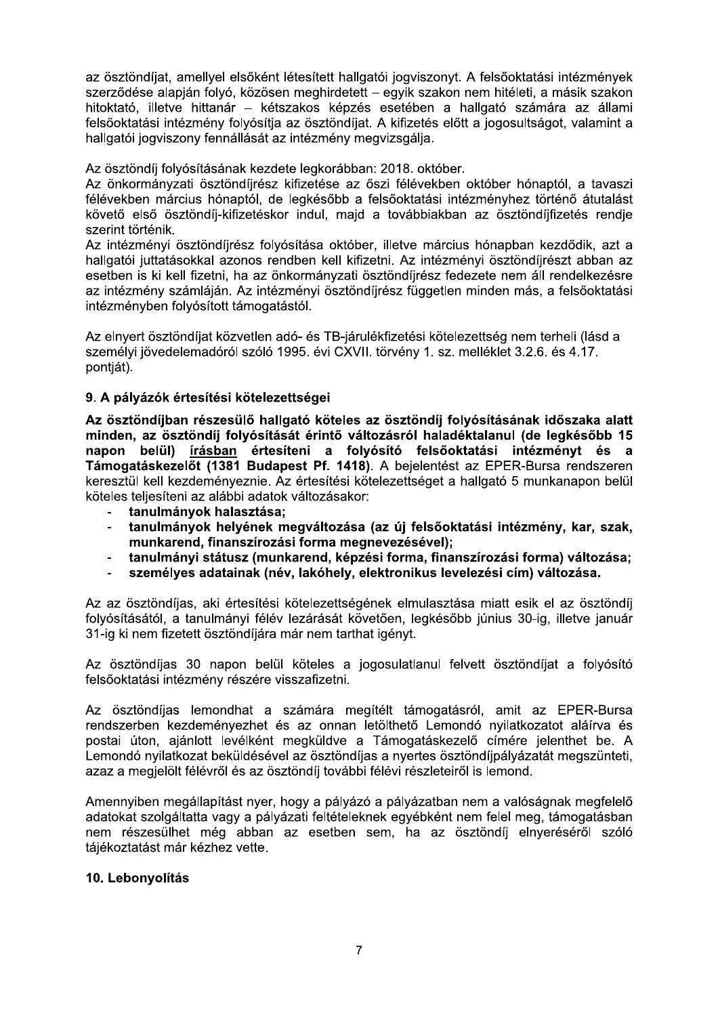az ösztöndíjat, amellyel elsőként létesített hallgatói jogviszonyt. A felsőoktatási intézmények szerződése alapján folyó, közösen meghirdetett – egyik szakon nem hitéleti, a másik szakon hitoktató, illetve hittanár – kétszakos képzés esetében a hallgató számára az állami felsőoktatási intézmény folyósítja az ösztöndíjat. A kifizetés előtt a jogosultságot, valamint a hallgatói jogviszony fennállását az intézmény megvizsgálja.

Az ösztöndíi folyósításának kezdete legkorábban: 2018. október.

Az önkormányzati ösztöndíjrész kifizetése az őszi félévekben október hónaptól, a tavaszi félévekben március hónaptól, de legkésőbb a felsőoktatási intézményhez történő átutalást követő első ösztöndíj-kifizetéskor indul, majd a továbbiakban az ösztöndíjfizetés rendje szerint történik.

Az intézményi ösztöndíjrész folyósítása október, illetve március hónapban kezdődik, azt a hallgatój juttatásokkal azonos rendben kell kifizetni. Az intézményi ösztöndíjrészt abban az esetben is ki kell fizetni, ha az önkormányzati ösztöndíjrész fedezete nem áll rendelkezésre az intézmény számláján. Az intézményi ösztöndíjrész független minden más, a felsőoktatási intézményben folyósított támogatástól.

Az elnyert ösztöndíjat közvetlen adó- és TB-járulékfizetési kötelezettség nem terheli (lásd a személyi jövedelemadóról szóló 1995. évi CXVII. törvény 1. sz. melléklet 3.2.6. és 4.17. pontiát).

## 9. A pálvázók értesítési kötelezettségei

Az ösztöndíjban részesülő hallgató köteles az ösztöndíj folyósításának időszaka alatt minden, az ösztöndíj folyósítását érintő változásról haladéktalanul (de legkésőbb 15 napon belül) írásban értesíteni a folyósító felsőoktatási intézményt és a Támogatáskezelőt (1381 Budapest Pf. 1418). A bejelentést az EPER-Bursa rendszeren keresztül kell kezdeményeznie. Az értesítési kötelezettséget a hallgató 5 munkanapon belül köteles teljesíteni az alábbi adatok változásakor:

- tanulmányok halasztása:
- tanulmányok helyének megyáltozása (az új felsőoktatási intézmény, kar. szak. munkarend, finanszírozási forma megnevezésével);
- tanulmányi státusz (munkarend, képzési forma, finanszírozási forma) változása;  $\Delta$
- $\overline{\phantom{a}}$ személyes adatainak (név, lakóhely, elektronikus levelezési cím) változása.

Az az ösztöndíjas, aki értesítési kötelezettségének elmulasztása miatt esik el az ösztöndíj folyósításától, a tanulmányi félév lezárását követően, legkésőbb június 30-ig, illetve január 31-ig ki nem fizetett ösztöndíjára már nem tarthat jgényt.

Az ösztöndíjas 30 napon belül köteles a jogosulatlanul felvett ösztöndíjat a folyósító felsőoktatási intézmény részére visszafizetni.

Az ösztöndíjas lemondhat a számára megítélt támogatásról, amit az EPER-Bursa rendszerben kezdeményezhet és az onnan letölthető Lemondó nyilatkozatot aláírva és postai úton, ajánlott levélként megküldve a Támogatáskezelő címére jelenthet be. A Lemondó nyilatkozat beküldésével az ösztöndíjas a nyertes ösztöndíjpályázatát megszünteti, azaz a megjelölt félévről és az ösztöndíj további félévi részleteiről is lemond.

Amennyiben megállapítást nyer, hogy a pályázó a pályázatban nem a valóságnak megfelelő adatokat szolgáltatta vagy a pályázati feltételeknek egyébként nem felel meg, támogatásban nem részesülhet még abban az esetben sem, ha az ösztöndíj elnyeréséről szóló tájékoztatást már kézhez vette.

## 10. Lebonyolítás